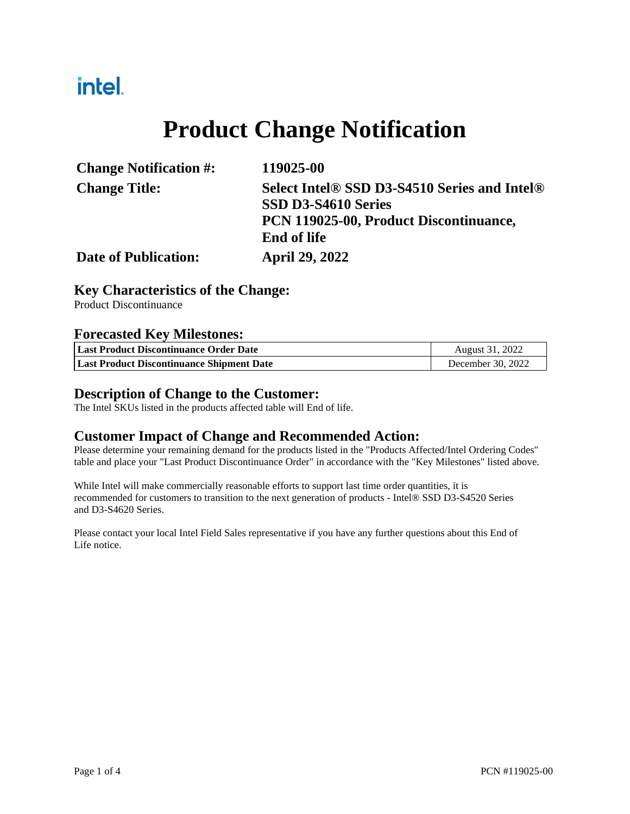## intel.

# **Product Change Notification**

| <b>Change Notification #:</b> | 119025-00                                    |
|-------------------------------|----------------------------------------------|
| <b>Change Title:</b>          | Select Intel® SSD D3-S4510 Series and Intel® |
|                               | SSD D3-S4610 Series                          |
|                               | PCN 119025-00, Product Discontinuance,       |
|                               | <b>End of life</b>                           |
| <b>Date of Publication:</b>   | <b>April 29, 2022</b>                        |

### **Key Characteristics of the Change:**

Product Discontinuance

#### **Forecasted Key Milestones:**

| Last Product Discontinuance Order Date           | August 31, 2022   |
|--------------------------------------------------|-------------------|
| <b>Last Product Discontinuance Shipment Date</b> | December 30, 2022 |

#### **Description of Change to the Customer:**

The Intel SKUs listed in the products affected table will End of life.

#### **Customer Impact of Change and Recommended Action:**

Please determine your remaining demand for the products listed in the "Products Affected/Intel Ordering Codes" table and place your "Last Product Discontinuance Order" in accordance with the "Key Milestones" listed above.

While Intel will make commercially reasonable efforts to support last time order quantities, it is recommended for customers to transition to the next generation of products - Intel® SSD D3-S4520 Series and D3-S4620 Series.

Please contact your local Intel Field Sales representative if you have any further questions about this End of Life notice.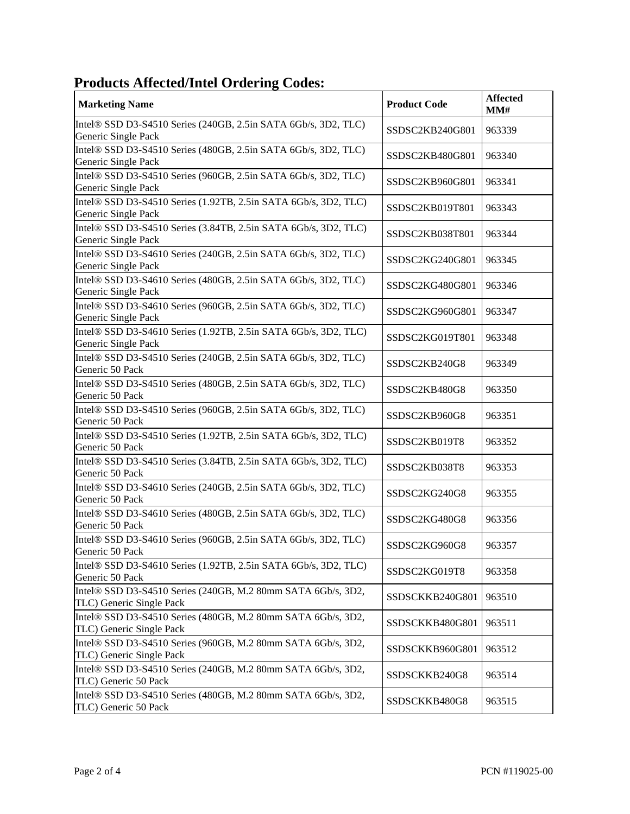### **Products Affected/Intel Ordering Codes:**

| <b>Marketing Name</b>                                                                                                                               | <b>Product Code</b> | <b>Affected</b><br>MM# |
|-----------------------------------------------------------------------------------------------------------------------------------------------------|---------------------|------------------------|
| Intel® SSD D3-S4510 Series (240GB, 2.5in SATA 6Gb/s, 3D2, TLC)<br>Generic Single Pack                                                               | SSDSC2KB240G801     | 963339                 |
| Intel® SSD D3-S4510 Series (480GB, 2.5in SATA 6Gb/s, 3D2, TLC)<br>Generic Single Pack                                                               | SSDSC2KB480G801     | 963340                 |
| Intel® SSD D3-S4510 Series (960GB, 2.5in SATA 6Gb/s, 3D2, TLC)<br>Generic Single Pack                                                               | SSDSC2KB960G801     | 963341                 |
| Intel® SSD D3-S4510 Series (1.92TB, 2.5in SATA 6Gb/s, 3D2, TLC)<br>Generic Single Pack                                                              | SSDSC2KB019T801     | 963343                 |
| Intel® SSD D3-S4510 Series (3.84TB, 2.5in SATA 6Gb/s, 3D2, TLC)<br>Generic Single Pack                                                              | SSDSC2KB038T801     | 963344                 |
| Intel® SSD D3-S4610 Series (240GB, 2.5in SATA 6Gb/s, 3D2, TLC)<br>Generic Single Pack                                                               | SSDSC2KG240G801     | 963345                 |
| Intel® SSD D3-S4610 Series (480GB, 2.5in SATA 6Gb/s, 3D2, TLC)<br>Generic Single Pack                                                               | SSDSC2KG480G801     | 963346                 |
| Intel® SSD D3-S4610 Series (960GB, 2.5in SATA 6Gb/s, 3D2, TLC)<br>Generic Single Pack                                                               | SSDSC2KG960G801     | 963347                 |
| Intel® SSD D3-S4610 Series (1.92TB, 2.5in SATA 6Gb/s, 3D2, TLC)<br>Generic Single Pack                                                              | SSDSC2KG019T801     | 963348                 |
| Intel® SSD D3-S4510 Series (240GB, 2.5in SATA 6Gb/s, 3D2, TLC)<br>Generic 50 Pack                                                                   | SSDSC2KB240G8       | 963349                 |
| Intel® SSD D3-S4510 Series (480GB, 2.5in SATA 6Gb/s, 3D2, TLC)<br>Generic 50 Pack                                                                   | SSDSC2KB480G8       | 963350                 |
| Intel® SSD D3-S4510 Series (960GB, 2.5in SATA 6Gb/s, 3D2, TLC)<br>Generic 50 Pack                                                                   | SSDSC2KB960G8       | 963351                 |
| Intel® SSD D3-S4510 Series (1.92TB, 2.5in SATA 6Gb/s, 3D2, TLC)<br>Generic 50 Pack                                                                  | SSDSC2KB019T8       | 963352                 |
| Intel® SSD D3-S4510 Series (3.84TB, 2.5in SATA 6Gb/s, 3D2, TLC)<br>Generic 50 Pack                                                                  | SSDSC2KB038T8       | 963353                 |
| Intel® SSD D3-S4610 Series (240GB, 2.5in SATA 6Gb/s, 3D2, TLC)<br>Generic 50 Pack<br>Intel® SSD D3-S4610 Series (480GB, 2.5in SATA 6Gb/s, 3D2, TLC) | SSDSC2KG240G8       | 963355                 |
| Generic 50 Pack<br>Intel® SSD D3-S4610 Series (960GB, 2.5in SATA 6Gb/s, 3D2, TLC)                                                                   | SSDSC2KG480G8       | 963356                 |
| Generic 50 Pack<br>Intel® SSD D3-S4610 Series (1.92TB, 2.5in SATA 6Gb/s, 3D2, TLC)                                                                  | SSDSC2KG960G8       | 963357                 |
| Generic 50 Pack<br>Intel® SSD D3-S4510 Series (240GB, M.2 80mm SATA 6Gb/s, 3D2,                                                                     | SSDSC2KG019T8       | 963358                 |
| TLC) Generic Single Pack<br>Intel® SSD D3-S4510 Series (480GB, M.2 80mm SATA 6Gb/s, 3D2,                                                            | SSDSCKKB240G801     | 963510                 |
| TLC) Generic Single Pack<br>Intel® SSD D3-S4510 Series (960GB, M.2 80mm SATA 6Gb/s, 3D2,                                                            | SSDSCKKB480G801     | 963511                 |
| TLC) Generic Single Pack<br>Intel® SSD D3-S4510 Series (240GB, M.2 80mm SATA 6Gb/s, 3D2,                                                            | SSDSCKKB960G801     | 963512                 |
| TLC) Generic 50 Pack<br>Intel® SSD D3-S4510 Series (480GB, M.2 80mm SATA 6Gb/s, 3D2,                                                                | SSDSCKKB240G8       | 963514                 |
| TLC) Generic 50 Pack                                                                                                                                | SSDSCKKB480G8       | 963515                 |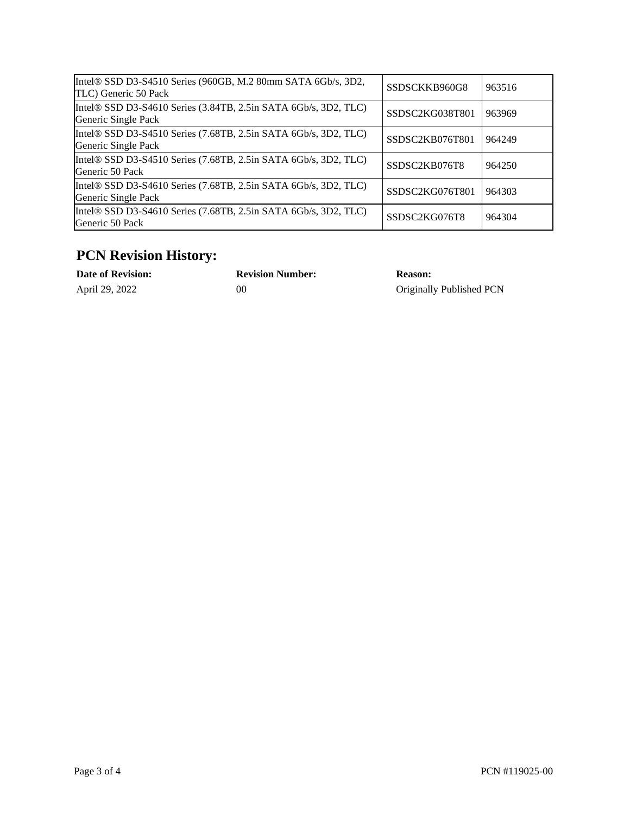| Intel® SSD D3-S4510 Series (960GB, M.2 80mm SATA 6Gb/s, 3D2,<br>TLC) Generic 50 Pack                                            | SSDSCKKB960G8                | 963516 |
|---------------------------------------------------------------------------------------------------------------------------------|------------------------------|--------|
| Intel® SSD D3-S4610 Series (3.84TB, 2.5in SATA 6Gb/s, 3D2, TLC)<br>Generic Single Pack                                          | SSDSC2KG038T801              | 963969 |
| Intel® SSD D3-S4510 Series (7.68TB, 2.5in SATA 6Gb/s, 3D2, TLC)<br>Generic Single Pack                                          | SSDSC2KB076T801              | 964249 |
| Intel® SSD D3-S4510 Series (7.68TB, 2.5in SATA 6Gb/s, 3D2, TLC)<br>Generic 50 Pack                                              | SSDSC2KB076T8                | 964250 |
| Intel® SSD D3-S4610 Series $(7.68 \text{TB}, 2.5 \text{in}$ SATA $6\text{Gb/s}, 3\text{D2}, \text{TLC})$<br>Generic Single Pack | SSDSC <sub>2</sub> KG076T801 | 964303 |
| Intel® SSD D3-S4610 Series (7.68TB, 2.5in SATA 6Gb/s, 3D2, TLC)<br>Generic 50 Pack                                              | SSDSC2KG076T8                | 964304 |

### **PCN Revision History:**

| <b>Date of Revision:</b> | <b>Revision Number:</b> | <b>Reason:</b>           |
|--------------------------|-------------------------|--------------------------|
| April 29, 2022           | 00                      | Originally Published PCN |